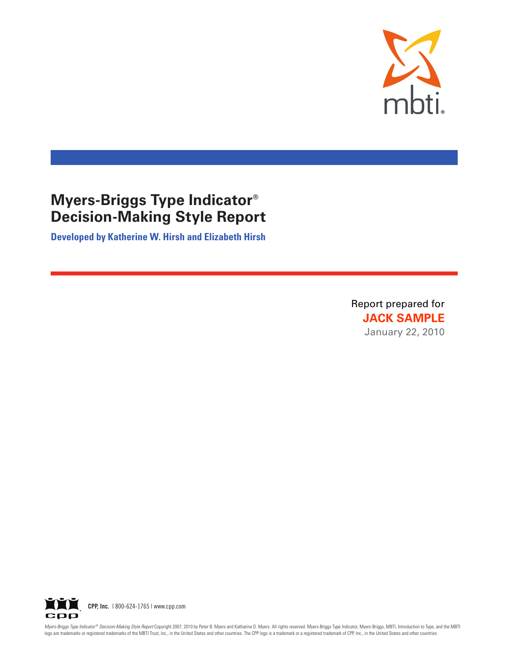

**Developed by Katherine W. Hirsh and Elizabeth Hirsh**

Report prepared for **JACK SAMPLE** January 22, 2010



Myers-Briggs Type Indicator® Decision-Making Style Report Copyright 2007, 2010 by Peter B. Myers and Katharine D. Myers. All rights reserved. Myers-Briggs Type Indicator, Myers-Briggs, MBTI, Introduction to Type, and the M logo are trademarks or registered trademarks of the MBTI Trust, Inc., in the United States and other countries. The CPP logo is a trademark or a registered trademark of CPP, Inc., in the United States and other countries.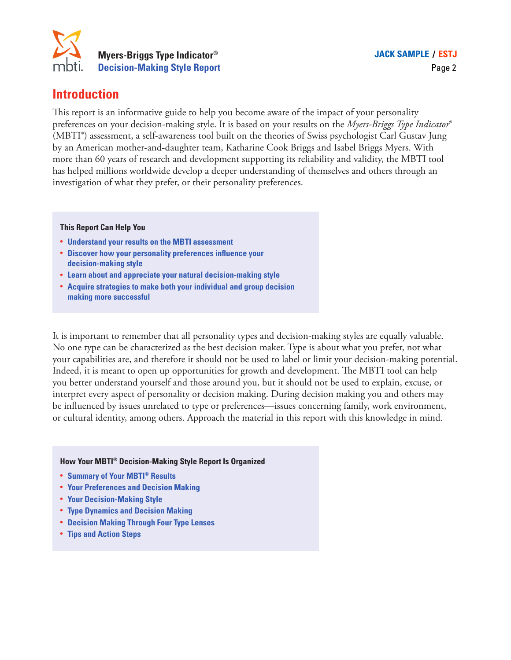

## **Introduction**

This report is an informative guide to help you become aware of the impact of your personality preferences on your decision-making style. It is based on your results on the *Myers-Briggs Type Indicator*® (MBTI®) assessment, a self-awareness tool built on the theories of Swiss psychologist Carl Gustav Jung by an American mother-and-daughter team, Katharine Cook Briggs and Isabel Briggs Myers. With more than 60 years of research and development supporting its reliability and validity, the MBTI tool has helped millions worldwide develop a deeper understanding of themselves and others through an investigation of what they prefer, or their personality preferences.

#### **This Report Can Help You**

- **• Understand your results on the MBTI assessment**
- **• Discover how your personality preferences influence your decision-making style**
- **• Learn about and appreciate your natural decision-making style**
- **• Acquire strategies to make both your individual and group decision making more successful**

It is important to remember that all personality types and decision-making styles are equally valuable. No one type can be characterized as the best decision maker. Type is about what you prefer, not what your capabilities are, and therefore it should not be used to label or limit your decision-making potential. Indeed, it is meant to open up opportunities for growth and development. The MBTI tool can help you better understand yourself and those around you, but it should not be used to explain, excuse, or interpret every aspect of personality or decision making. During decision making you and others may be influenced by issues unrelated to type or preferences—issues concerning family, work environment, or cultural identity, among others. Approach the material in this report with this knowledge in mind.

#### **How Your MBTI® Decision-Making Style Report Is Organized**

- **• Summary of Your MBTI® Results**
- **• Your Preferences and Decision Making**
- **• Your Decision-Making Style**
- **• Type Dynamics and Decision Making**
- **• Decision Making Through Four Type Lenses**
- **• Tips and Action Steps**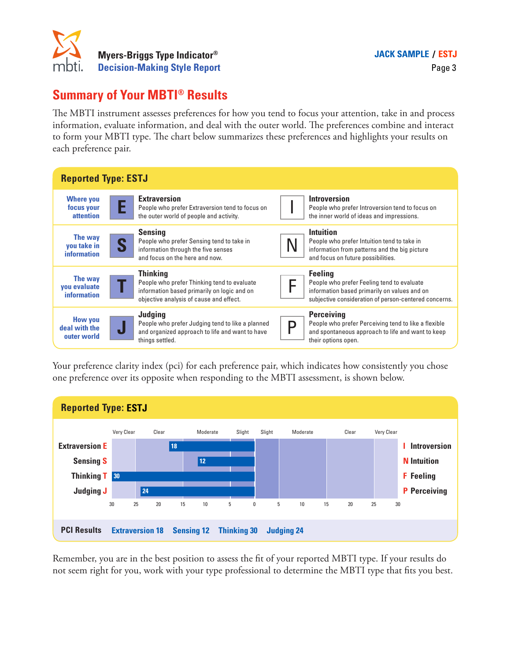

## **Summary of Your MBTI® Results**

The MBTI instrument assesses preferences for how you tend to focus your attention, take in and process information, evaluate information, and deal with the outer world. The preferences combine and interact to form your MBTI type. The chart below summarizes these preferences and highlights your results on each preference pair.

| <b>Reported Type: ESTJ</b>                     |                                                                                                                                                          |                                                                                                                                                                       |  |  |  |
|------------------------------------------------|----------------------------------------------------------------------------------------------------------------------------------------------------------|-----------------------------------------------------------------------------------------------------------------------------------------------------------------------|--|--|--|
| <b>Where you</b><br>focus your<br>attention    | <b>Extraversion</b><br>People who prefer Extraversion tend to focus on<br>the outer world of people and activity.                                        | <b>Introversion</b><br>People who prefer Introversion tend to focus on<br>the inner world of ideas and impressions.                                                   |  |  |  |
| The way<br>you take in<br>information          | <b>Sensing</b><br>People who prefer Sensing tend to take in<br>S<br>information through the five senses<br>and focus on the here and now.                | <b>Intuition</b><br>People who prefer Intuition tend to take in<br>information from patterns and the big picture<br>and focus on future possibilities.                |  |  |  |
| The way<br>you evaluate<br>information         | <b>Thinking</b><br>People who prefer Thinking tend to evaluate<br>information based primarily on logic and on<br>objective analysis of cause and effect. | <b>Feeling</b><br>People who prefer Feeling tend to evaluate<br>information based primarily on values and on<br>subjective consideration of person-centered concerns. |  |  |  |
| <b>How you</b><br>deal with the<br>outer world | Judging<br>People who prefer Judging tend to like a planned<br>J<br>and organized approach to life and want to have<br>things settled.                   | <b>Perceiving</b><br>People who prefer Perceiving tend to like a flexible<br>n<br>and spontaneous approach to life and want to keep<br>their options open.            |  |  |  |

Your preference clarity index (pci) for each preference pair, which indicates how consistently you chose one preference over its opposite when responding to the MBTI assessment, is shown below.



Remember, you are in the best position to assess the fit of your reported MBTI type. If your results do not seem right for you, work with your type professional to determine the MBTI type that fits you best.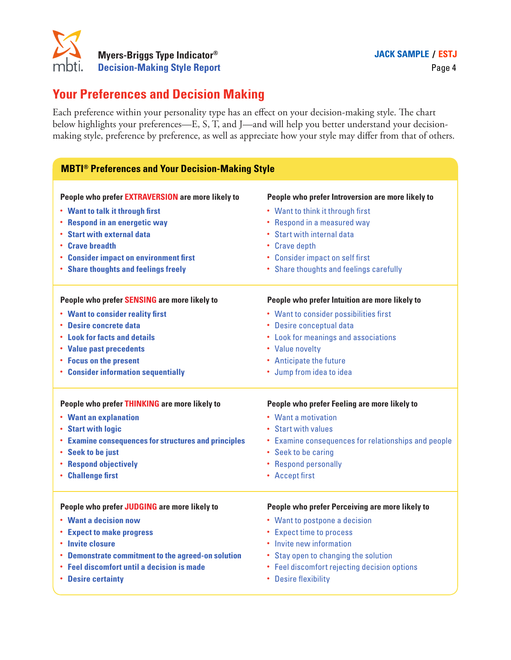

# **Your Preferences and Decision Making**

| Myers-Briggs Type Indicator®<br>mbti.<br><b>Decision-Making Style Report</b> |  | <b>JACK SAMPLE / ESTJ</b><br>Page 4                                                                                                                                                                                                                                                                                        |  |  |
|------------------------------------------------------------------------------|--|----------------------------------------------------------------------------------------------------------------------------------------------------------------------------------------------------------------------------------------------------------------------------------------------------------------------------|--|--|
| <b>Your Preferences and Decision Making</b>                                  |  |                                                                                                                                                                                                                                                                                                                            |  |  |
|                                                                              |  | Each preference within your personality type has an effect on your decision-making style. The chart<br>below highlights your preferences—E, S, T, and J—and will help you better understand your decision-<br>making style, preference by preference, as well as appreciate how your style may differ from that of others. |  |  |
| <b>MBTI<sup>®</sup> Preferences and Your Decision-Making Style</b>           |  |                                                                                                                                                                                                                                                                                                                            |  |  |
| People who prefer EXTRAVERSION are more likely to                            |  | People who prefer Introversion are more likely to                                                                                                                                                                                                                                                                          |  |  |
| • Want to talk it through first                                              |  | • Want to think it through first                                                                                                                                                                                                                                                                                           |  |  |
| • Respond in an energetic way                                                |  | • Respond in a measured way                                                                                                                                                                                                                                                                                                |  |  |
| • Start with external data                                                   |  | • Start with internal data                                                                                                                                                                                                                                                                                                 |  |  |
| • Crave breadth                                                              |  | • Crave depth                                                                                                                                                                                                                                                                                                              |  |  |
| • Consider impact on environment first                                       |  | • Consider impact on self first                                                                                                                                                                                                                                                                                            |  |  |
| • Share thoughts and feelings freely                                         |  | • Share thoughts and feelings carefully                                                                                                                                                                                                                                                                                    |  |  |
| People who prefer SENSING are more likely to                                 |  | People who prefer Intuition are more likely to                                                                                                                                                                                                                                                                             |  |  |
| • Want to consider reality first                                             |  | • Want to consider possibilities first                                                                                                                                                                                                                                                                                     |  |  |
| <b>Desire concrete data</b>                                                  |  | • Desire conceptual data                                                                                                                                                                                                                                                                                                   |  |  |
| <b>• Look for facts and details</b>                                          |  | • Look for meanings and associations                                                                                                                                                                                                                                                                                       |  |  |
| • Value past precedents                                                      |  | • Value novelty                                                                                                                                                                                                                                                                                                            |  |  |
| • Focus on the present                                                       |  | • Anticipate the future                                                                                                                                                                                                                                                                                                    |  |  |
| • Consider information sequentially                                          |  | • Jump from idea to idea                                                                                                                                                                                                                                                                                                   |  |  |
| People who prefer THINKING are more likely to                                |  | People who prefer Feeling are more likely to                                                                                                                                                                                                                                                                               |  |  |
| • Want an explanation                                                        |  | • Want a motivation                                                                                                                                                                                                                                                                                                        |  |  |
| <b>Start with logic</b>                                                      |  | • Start with values                                                                                                                                                                                                                                                                                                        |  |  |
| <b>Examine consequences for structures and principles</b><br>٠               |  | • Examine consequences for relationships and people                                                                                                                                                                                                                                                                        |  |  |
| • Seek to be just                                                            |  | • Seek to be caring                                                                                                                                                                                                                                                                                                        |  |  |
| <b>Respond objectively</b>                                                   |  | • Respond personally                                                                                                                                                                                                                                                                                                       |  |  |
| <b>Challenge first</b><br>٠                                                  |  | • Accept first                                                                                                                                                                                                                                                                                                             |  |  |
| People who prefer JUDGING are more likely to                                 |  | People who prefer Perceiving are more likely to                                                                                                                                                                                                                                                                            |  |  |
| • Want a decision now                                                        |  | • Want to postpone a decision                                                                                                                                                                                                                                                                                              |  |  |
| <b>Expect to make progress</b>                                               |  | • Expect time to process                                                                                                                                                                                                                                                                                                   |  |  |
| • Invite closure                                                             |  | • Invite new information                                                                                                                                                                                                                                                                                                   |  |  |
| <b>Demonstrate commitment to the agreed-on solution</b>                      |  | • Stay open to changing the solution                                                                                                                                                                                                                                                                                       |  |  |
| <b>Feel discomfort until a decision is made</b>                              |  | • Feel discomfort rejecting decision options                                                                                                                                                                                                                                                                               |  |  |
| <b>Desire certainty</b><br>٠                                                 |  | • Desire flexibility                                                                                                                                                                                                                                                                                                       |  |  |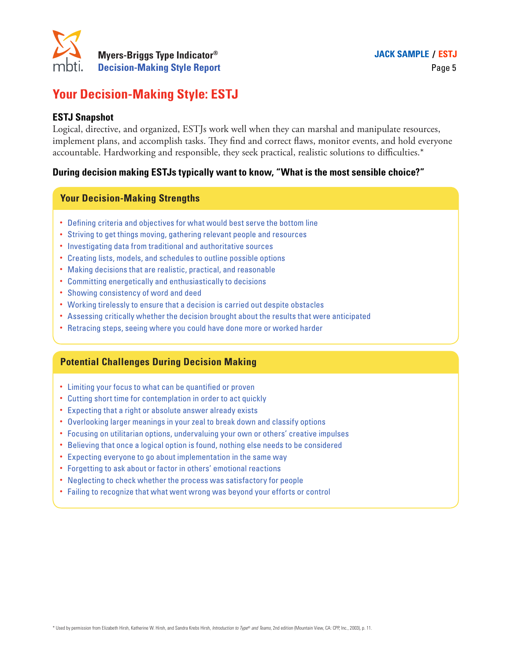

# **Your Decision-Making Style: ESTJ**

### **ESTJ Snapshot**

Logical, directive, and organized, ESTJs work well when they can marshal and manipulate resources, implement plans, and accomplish tasks. They find and correct flaws, monitor events, and hold everyone accountable. Hardworking and responsible, they seek practical, realistic solutions to difficulties.\*

#### **During decision making ESTJs typically want to know, "What is the most sensible choice?"**

#### **Your Decision-Making Strengths**

- Defining criteria and objectives for what would best serve the bottom line
- Striving to get things moving, gathering relevant people and resources
- Investigating data from traditional and authoritative sources
- Creating lists, models, and schedules to outline possible options
- Making decisions that are realistic, practical, and reasonable
- Committing energetically and enthusiastically to decisions
- Showing consistency of word and deed
- Working tirelessly to ensure that a decision is carried out despite obstacles
- Assessing critically whether the decision brought about the results that were anticipated
- Retracing steps, seeing where you could have done more or worked harder

#### **Potential Challenges During Decision Making**

- Limiting your focus to what can be quantified or proven
- Cutting short time for contemplation in order to act quickly
- Expecting that a right or absolute answer already exists
- Overlooking larger meanings in your zeal to break down and classify options
- Focusing on utilitarian options, undervaluing your own or others' creative impulses
- Believing that once a logical option is found, nothing else needs to be considered
- Expecting everyone to go about implementation in the same way
- Forgetting to ask about or factor in others' emotional reactions
- Neglecting to check whether the process was satisfactory for people
- Failing to recognize that what went wrong was beyond your efforts or control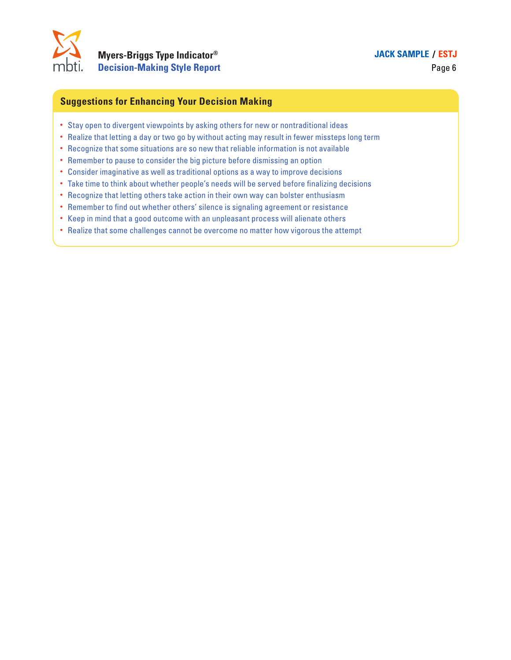

### **JACK SAMPLE / ESTJ**

Page 6

## **Suggestions for Enhancing Your Decision Making**

- Stay open to divergent viewpoints by asking others for new or nontraditional ideas
- Realize that letting a day or two go by without acting may result in fewer missteps long term
- Recognize that some situations are so new that reliable information is not available
- Remember to pause to consider the big picture before dismissing an option
- Consider imaginative as well as traditional options as a way to improve decisions
- Take time to think about whether people's needs will be served before finalizing decisions
- Recognize that letting others take action in their own way can bolster enthusiasm
- Remember to find out whether others' silence is signaling agreement or resistance
- Keep in mind that a good outcome with an unpleasant process will alienate others
- Realize that some challenges cannot be overcome no matter how vigorous the attempt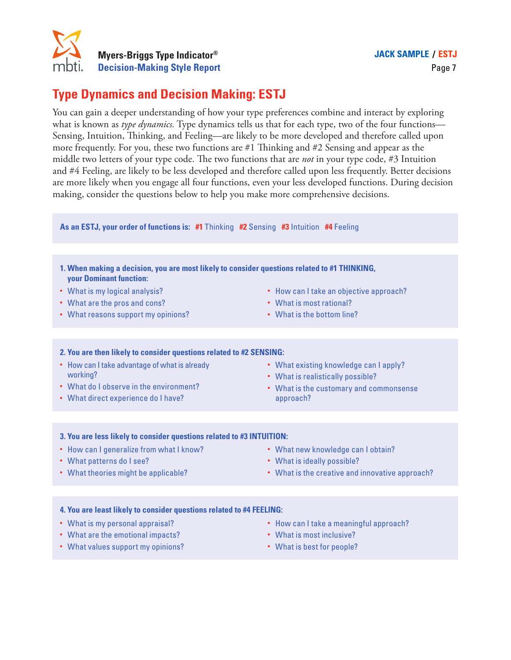

# **Type Dynamics and Decision Making: ESTJ**

You can gain a deeper understanding of how your type preferences combine and interact by exploring what is known as *type dynamics.* Type dynamics tells us that for each type, two of the four functions— Sensing, Intuition, Thinking, and Feeling—are likely to be more developed and therefore called upon more frequently. For you, these two functions are #1 Thinking and #2 Sensing and appear as the middle two letters of your type code. The two functions that are *not* in your type code, #3 Intuition and #4 Feeling, are likely to be less developed and therefore called upon less frequently. Better decisions are more likely when you engage all four functions, even your less developed functions. During decision making, consider the questions below to help you make more comprehensive decisions. **1. When making a decision. 1.** When making Style Report **1.** Decision-Making Style Report point and a decept understanding of how your type preferences combine and intent is known as *type dynamics*. Type dynamics tells **2. You are then likely to consider and Decision 2. You are then likely to consider and Decision Making: ESTJ**<br> **2. You can gain a deeper understanding of how your type preferentaris is known as** *type dynamics***. Type dyn Myers-Briggs Type Indicator®<br>
Appe Dynamics and Decision Making: EST,**<br>
we can gain a deeper understanding of how your type prefatatis known as *type dynamics*. Type dynamics rells us that<br>
missing, Intuition, Thinkking,

**As an ESTJ, your order of functions is: #1** Thinking **#2** Sensing **#3** Intuition **#4** Feeling

- **your Dominant function:**
- What is my logical analysis?
- What are the pros and cons?
- What reasons support my opinions?
- How can I take an objective approach?
- What is most rational?
- What is the bottom line?

- How can I take advantage of what is already working?
- What do I observe in the environment?
- What direct experience do I have?
- What existing knowledge can I apply?
- What is realistically possible?
- What is the customary and commonsense approach?

#### **3. You are less likely to consider questions related to #3 INTUITION:**

- How can I generalize from what I know?
- What patterns do I see?
- What theories might be applicable?
- What new knowledge can I obtain?
- What is ideally possible?
- What is the creative and innovative approach?

- What is my personal appraisal?
- What are the emotional impacts?
- What values support my opinions?
- How can I take a meaningful approach?
- What is most inclusive?
- What is best for people?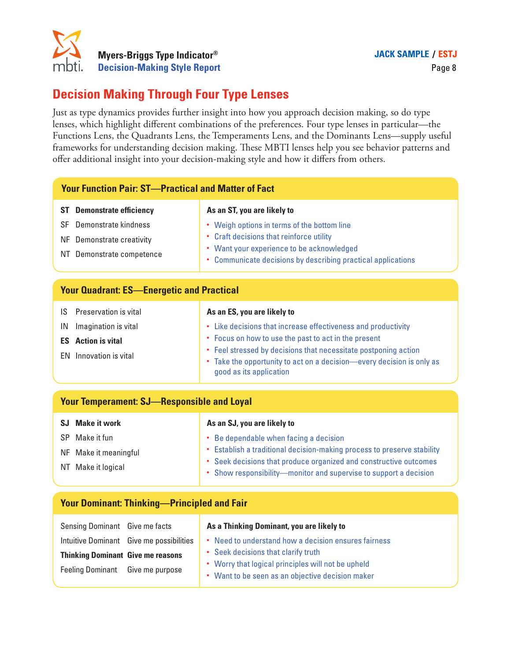

# **Decision Making Through Four Type Lenses**

| mbti.<br><b>Decision-Making Style Report</b>                                                                               |                                                                                                                                                                                                                                                                                                                                                                                                                                                                                                                |  |  |  |  |  |
|----------------------------------------------------------------------------------------------------------------------------|----------------------------------------------------------------------------------------------------------------------------------------------------------------------------------------------------------------------------------------------------------------------------------------------------------------------------------------------------------------------------------------------------------------------------------------------------------------------------------------------------------------|--|--|--|--|--|
| <b>Decision Making Through Four Type Lenses</b>                                                                            |                                                                                                                                                                                                                                                                                                                                                                                                                                                                                                                |  |  |  |  |  |
|                                                                                                                            | Just as type dynamics provides further insight into how you approach decision making, so do type<br>lenses, which highlight different combinations of the preferences. Four type lenses in particular—the<br>Functions Lens, the Quadrants Lens, the Temperaments Lens, and the Dominants Lens-supply useful<br>frameworks for understanding decision making. These MBTI lenses help you see behavior patterns and<br>offer additional insight into your decision-making style and how it differs from others. |  |  |  |  |  |
| <b>Your Function Pair: ST-Practical and Matter of Fact</b>                                                                 |                                                                                                                                                                                                                                                                                                                                                                                                                                                                                                                |  |  |  |  |  |
| <b>ST</b> Demonstrate efficiency<br>Demonstrate kindness<br>SF<br>NF Demonstrate creativity<br>NT Demonstrate competence   | As an ST, you are likely to<br>• Weigh options in terms of the bottom line<br>• Craft decisions that reinforce utility<br>• Want your experience to be acknowledged<br>• Communicate decisions by describing practical applications                                                                                                                                                                                                                                                                            |  |  |  |  |  |
| <b>Your Quadrant: ES-Energetic and Practical</b>                                                                           |                                                                                                                                                                                                                                                                                                                                                                                                                                                                                                                |  |  |  |  |  |
| Preservation is vital<br>IS<br>Imagination is vital<br>IN<br><b>Action is vital</b><br><b>ES</b><br>EN Innovation is vital | As an ES, you are likely to<br>• Like decisions that increase effectiveness and productivity<br>• Focus on how to use the past to act in the present<br>• Feel stressed by decisions that necessitate postponing action<br>• Take the opportunity to act on a decision-every decision is only as<br>good as its application                                                                                                                                                                                    |  |  |  |  |  |
| <b>Your Temperament: SJ-Responsible and Loyal</b>                                                                          |                                                                                                                                                                                                                                                                                                                                                                                                                                                                                                                |  |  |  |  |  |
| <b>SJ</b> Make it work<br>SP Make it fun<br>NF Make it meaningful<br>NT Make it logical                                    | As an SJ, you are likely to<br>Be dependable when facing a decision<br>• Establish a traditional decision-making process to preserve stability<br>Seek decisions that produce organized and constructive outcomes<br>٠<br>Show responsibility-monitor and supervise to support a decision<br>٠                                                                                                                                                                                                                 |  |  |  |  |  |
| <b>Your Dominant: Thinking-Principled and Fair</b>                                                                         |                                                                                                                                                                                                                                                                                                                                                                                                                                                                                                                |  |  |  |  |  |
| Sensing Dominant Give me facts<br>Intuitive Dominant Give me possibilities<br><b>Thinking Dominant Give me reasons</b>     | As a Thinking Dominant, you are likely to<br>• Need to understand how a decision ensures fairness<br>Seek decisions that clarify truth<br>$\bullet$                                                                                                                                                                                                                                                                                                                                                            |  |  |  |  |  |

- NT Make it logical
- Seek decisions that produce organized and constructive outcomes
	- Show responsibility—monitor and supervise to support a decision

|  |  | <b>Your Dominant: Thinking-Principled and Fair</b> |
|--|--|----------------------------------------------------|
|  |  |                                                    |

| Sensing Dominant Give me facts           |                                          | As a Thinking Dominant, you are likely to                                                              |
|------------------------------------------|------------------------------------------|--------------------------------------------------------------------------------------------------------|
|                                          | Intuitive Dominant Give me possibilities | • Need to understand how a decision ensures fairness                                                   |
| <b>Thinking Dominant Give me reasons</b> |                                          | • Seek decisions that clarify truth                                                                    |
| Feeling Dominant Give me purpose         |                                          | • Worry that logical principles will not be upheld<br>• Want to be seen as an objective decision maker |